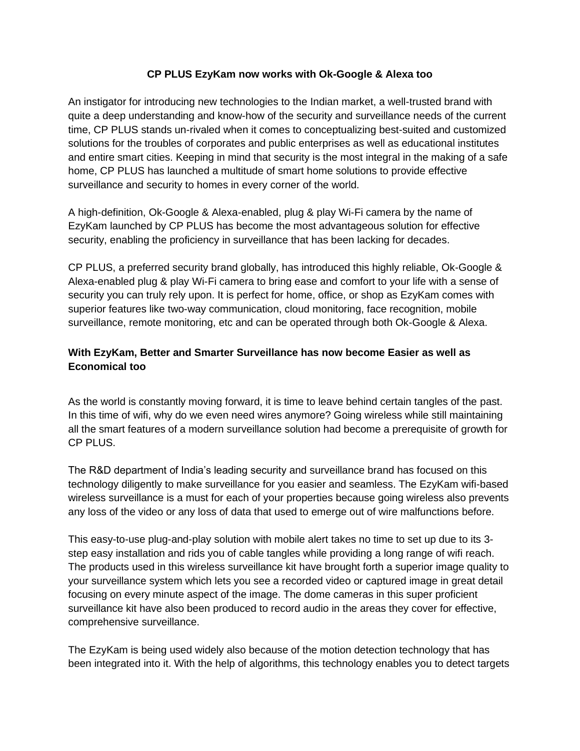## **CP PLUS EzyKam now works with Ok-Google & Alexa too**

An instigator for introducing new technologies to the Indian market, a well-trusted brand with quite a deep understanding and know-how of the security and surveillance needs of the current time, CP PLUS stands un-rivaled when it comes to conceptualizing best-suited and customized solutions for the troubles of corporates and public enterprises as well as educational institutes and entire smart cities. Keeping in mind that security is the most integral in the making of a safe home, CP PLUS has launched a multitude of smart home solutions to provide effective surveillance and security to homes in every corner of the world.

A high-definition, Ok-Google & Alexa-enabled, plug & play Wi-Fi camera by the name of EzyKam launched by CP PLUS has become the most advantageous solution for effective security, enabling the proficiency in surveillance that has been lacking for decades.

CP PLUS, a preferred security brand globally, has introduced this highly reliable, Ok-Google & Alexa-enabled plug & play Wi-Fi camera to bring ease and comfort to your life with a sense of security you can truly rely upon. It is perfect for home, office, or shop as EzyKam comes with superior features like two-way communication, cloud monitoring, face recognition, mobile surveillance, remote monitoring, etc and can be operated through both Ok-Google & Alexa.

## **With EzyKam, Better and Smarter Surveillance has now become Easier as well as Economical too**

As the world is constantly moving forward, it is time to leave behind certain tangles of the past. In this time of wifi, why do we even need wires anymore? Going wireless while still maintaining all the smart features of a modern surveillance solution had become a prerequisite of growth for CP PLUS.

The R&D department of India's leading security and surveillance brand has focused on this technology diligently to make surveillance for you easier and seamless. The EzyKam wifi-based wireless surveillance is a must for each of your properties because going wireless also prevents any loss of the video or any loss of data that used to emerge out of wire malfunctions before.

This easy-to-use plug-and-play solution with mobile alert takes no time to set up due to its 3 step easy installation and rids you of cable tangles while providing a long range of wifi reach. The products used in this wireless surveillance kit have brought forth a superior image quality to your surveillance system which lets you see a recorded video or captured image in great detail focusing on every minute aspect of the image. The dome cameras in this super proficient surveillance kit have also been produced to record audio in the areas they cover for effective, comprehensive surveillance.

The EzyKam is being used widely also because of the motion detection technology that has been integrated into it. With the help of algorithms, this technology enables you to detect targets